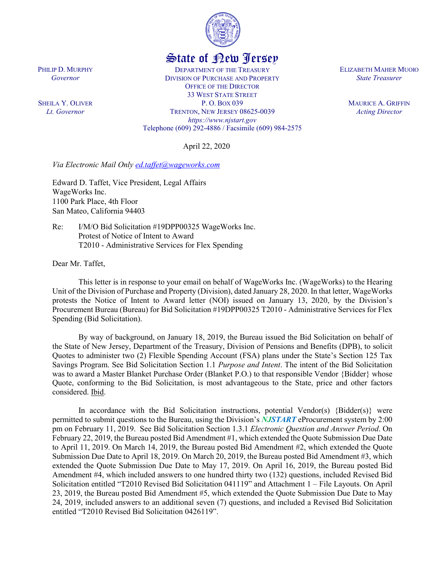

## State of New Jersey

DEPARTMENT OF THE TREASURY DIVISION OF PURCHASE AND PROPERTY OFFICE OF THE DIRECTOR 33 WEST STATE STREET P. O. BOX 039 TRENTON, NEW JERSEY 08625-0039 *https://www.njstart.gov* Telephone (609) 292-4886 / Facsimile (609) 984-2575

April 22, 2020

*Via Electronic Mail Only [ed.taffet@wageworks.com](mailto:ed.taffet@wageworks.com)*

Edward D. Taffet, Vice President, Legal Affairs WageWorks Inc. 1100 Park Place, 4th Floor San Mateo, California 94403

Re: I/M/O Bid Solicitation #19DPP00325 WageWorks Inc. Protest of Notice of Intent to Award T2010 - Administrative Services for Flex Spending

Dear Mr. Taffet,

This letter is in response to your email on behalf of WageWorks Inc. (WageWorks) to the Hearing Unit of the Division of Purchase and Property (Division), dated January 28, 2020. In that letter, WageWorks protests the Notice of Intent to Award letter (NOI) issued on January 13, 2020, by the Division's Procurement Bureau (Bureau) for Bid Solicitation #19DPP00325 T2010 - Administrative Services for Flex Spending (Bid Solicitation).

By way of background, on January 18, 2019, the Bureau issued the Bid Solicitation on behalf of the State of New Jersey, Department of the Treasury, Division of Pensions and Benefits (DPB), to solicit Quotes to administer two (2) Flexible Spending Account (FSA) plans under the State's Section 125 Tax Savings Program. See Bid Solicitation Section 1.1 *Purpose and Intent*. The intent of the Bid Solicitation was to award a Master Blanket Purchase Order (Blanket P.O.) to that responsible Vendor {Bidder} whose Quote, conforming to the Bid Solicitation, is most advantageous to the State, price and other factors considered. Ibid.

In accordance with the Bid Solicitation instructions, potential Vendor(s)  ${Bidders(s)}$  were permitted to submit questions to the Bureau, using the Division's *NJSTART* eProcurement system by 2:00 pm on February 11, 2019. See Bid Solicitation Section 1.3.1 *Electronic Question and Answer Period*. On February 22, 2019, the Bureau posted Bid Amendment #1, which extended the Quote Submission Due Date to April 11, 2019. On March 14, 2019, the Bureau posted Bid Amendment #2, which extended the Quote Submission Due Date to April 18, 2019. On March 20, 2019, the Bureau posted Bid Amendment #3, which extended the Quote Submission Due Date to May 17, 2019. On April 16, 2019, the Bureau posted Bid Amendment #4, which included answers to one hundred thirty two (132) questions, included Revised Bid Solicitation entitled "T2010 Revised Bid Solicitation 041119" and Attachment 1 – File Layouts. On April 23, 2019, the Bureau posted Bid Amendment #5, which extended the Quote Submission Due Date to May 24, 2019, included answers to an additional seven (7) questions, and included a Revised Bid Solicitation entitled "T2010 Revised Bid Solicitation 0426119".

ELIZABETH MAHER MUOIO *State Treasurer*

> MAURICE A. GRIFFIN *Acting Director*

PHILIP D. MURPHY *Governor*

SHEILA Y. OLIVER *Lt. Governor*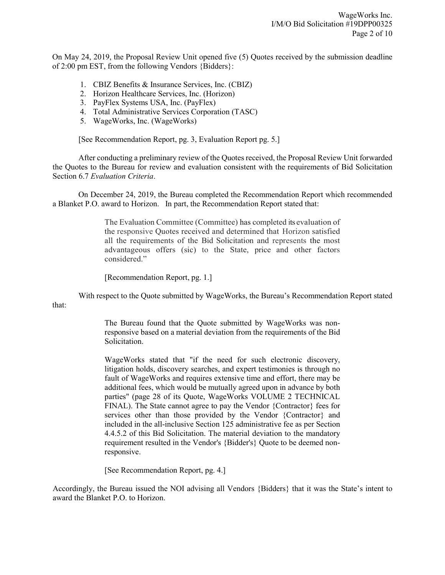On May 24, 2019, the Proposal Review Unit opened five (5) Quotes received by the submission deadline of 2:00 pm EST, from the following Vendors {Bidders}:

- 1. CBIZ Benefits & Insurance Services, Inc. (CBIZ)
- 2. Horizon Healthcare Services, Inc. (Horizon)
- 3. PayFlex Systems USA, Inc. (PayFlex)
- 4. Total Administrative Services Corporation (TASC)
- 5. WageWorks, Inc. (WageWorks)

[See Recommendation Report, pg. 3, Evaluation Report pg. 5.]

After conducting a preliminary review of the Quotes received, the Proposal Review Unit forwarded the Quotes to the Bureau for review and evaluation consistent with the requirements of Bid Solicitation Section 6.7 *Evaluation Criteria*.

On December 24, 2019, the Bureau completed the Recommendation Report which recommended a Blanket P.O. award to Horizon. In part, the Recommendation Report stated that:

> The Evaluation Committee (Committee) has completed its evaluation of the responsive Quotes received and determined that Horizon satisfied all the requirements of the Bid Solicitation and represents the most advantageous offers (sic) to the State, price and other factors considered."

[Recommendation Report, pg. 1.]

With respect to the Quote submitted by WageWorks, the Bureau's Recommendation Report stated that:

> The Bureau found that the Quote submitted by WageWorks was nonresponsive based on a material deviation from the requirements of the Bid Solicitation.

> WageWorks stated that "if the need for such electronic discovery, litigation holds, discovery searches, and expert testimonies is through no fault of WageWorks and requires extensive time and effort, there may be additional fees, which would be mutually agreed upon in advance by both parties" (page 28 of its Quote, WageWorks VOLUME 2 TECHNICAL FINAL). The State cannot agree to pay the Vendor {Contractor} fees for services other than those provided by the Vendor {Contractor} and included in the all-inclusive Section 125 administrative fee as per Section 4.4.5.2 of this Bid Solicitation. The material deviation to the mandatory requirement resulted in the Vendor's {Bidder's} Quote to be deemed nonresponsive.

[See Recommendation Report, pg. 4.]

Accordingly, the Bureau issued the NOI advising all Vendors {Bidders} that it was the State's intent to award the Blanket P.O. to Horizon.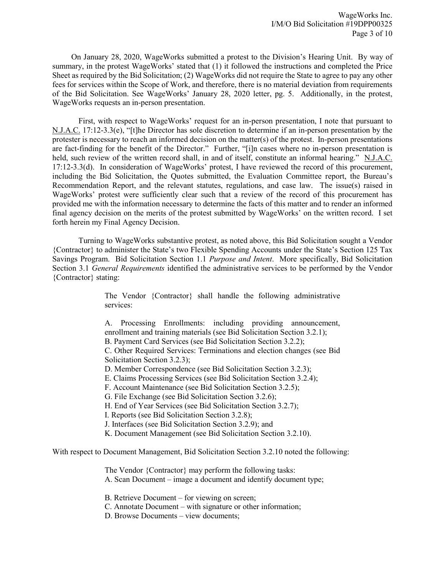On January 28, 2020, WageWorks submitted a protest to the Division's Hearing Unit. By way of summary, in the protest WageWorks' stated that (1) it followed the instructions and completed the Price Sheet as required by the Bid Solicitation; (2) WageWorks did not require the State to agree to pay any other fees for services within the Scope of Work, and therefore, there is no material deviation from requirements of the Bid Solicitation. See WageWorks' January 28, 2020 letter, pg. 5. Additionally, in the protest, WageWorks requests an in-person presentation.

First, with respect to WageWorks' request for an in-person presentation, I note that pursuant to N.J.A.C. 17:12-3.3(e), "[t]he Director has sole discretion to determine if an in-person presentation by the protester is necessary to reach an informed decision on the matter(s) of the protest. In-person presentations are fact-finding for the benefit of the Director." Further, "[i]n cases where no in-person presentation is held, such review of the written record shall, in and of itself, constitute an informal hearing." N.J.A.C. 17:12-3.3(d). In consideration of WageWorks' protest, I have reviewed the record of this procurement, including the Bid Solicitation, the Quotes submitted, the Evaluation Committee report, the Bureau's Recommendation Report, and the relevant statutes, regulations, and case law. The issue(s) raised in WageWorks' protest were sufficiently clear such that a review of the record of this procurement has provided me with the information necessary to determine the facts of this matter and to render an informed final agency decision on the merits of the protest submitted by WageWorks' on the written record. I set forth herein my Final Agency Decision.

Turning to WageWorks substantive protest, as noted above, this Bid Solicitation sought a Vendor {Contractor} to administer the State's two Flexible Spending Accounts under the State's Section 125 Tax Savings Program. Bid Solicitation Section 1.1 *Purpose and Intent*. More specifically, Bid Solicitation Section 3.1 *General Requirements* identified the administrative services to be performed by the Vendor {Contractor} stating:

> The Vendor {Contractor} shall handle the following administrative services:

> A. Processing Enrollments: including providing announcement, enrollment and training materials (see Bid Solicitation Section 3.2.1); B. Payment Card Services (see Bid Solicitation Section 3.2.2); C. Other Required Services: Terminations and election changes (see Bid Solicitation Section 3.2.3); D. Member Correspondence (see Bid Solicitation Section 3.2.3); E. Claims Processing Services (see Bid Solicitation Section 3.2.4); F. Account Maintenance (see Bid Solicitation Section 3.2.5); G. File Exchange (see Bid Solicitation Section 3.2.6); H. End of Year Services (see Bid Solicitation Section 3.2.7); I. Reports (see Bid Solicitation Section 3.2.8); J. Interfaces (see Bid Solicitation Section 3.2.9); and

K. Document Management (see Bid Solicitation Section 3.2.10).

With respect to Document Management, Bid Solicitation Section 3.2.10 noted the following:

The Vendor {Contractor} may perform the following tasks: A. Scan Document – image a document and identify document type;

B. Retrieve Document – for viewing on screen;

C. Annotate Document – with signature or other information;

D. Browse Documents – view documents;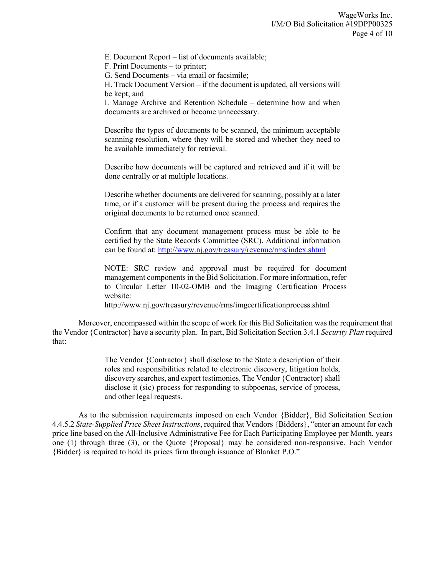E. Document Report – list of documents available;

F. Print Documents – to printer;

G. Send Documents – via email or facsimile;

H. Track Document Version – if the document is updated, all versions will be kept; and

I. Manage Archive and Retention Schedule – determine how and when documents are archived or become unnecessary.

Describe the types of documents to be scanned, the minimum acceptable scanning resolution, where they will be stored and whether they need to be available immediately for retrieval.

Describe how documents will be captured and retrieved and if it will be done centrally or at multiple locations.

Describe whether documents are delivered for scanning, possibly at a later time, or if a customer will be present during the process and requires the original documents to be returned once scanned.

Confirm that any document management process must be able to be certified by the State Records Committee (SRC). Additional information can be found at:<http://www.nj.gov/treasury/revenue/rms/index.shtml>

NOTE: SRC review and approval must be required for document management components in the Bid Solicitation. For more information, refer to Circular Letter 10-02-OMB and the Imaging Certification Process website:

http://www.nj.gov/treasury/revenue/rms/imgcertificationprocess.shtml

Moreover, encompassed within the scope of work for this Bid Solicitation was the requirement that the Vendor {Contractor} have a security plan. In part, Bid Solicitation Section 3.4.1 *Security Plan* required that:

> The Vendor {Contractor} shall disclose to the State a description of their roles and responsibilities related to electronic discovery, litigation holds, discovery searches, and expert testimonies. The Vendor {Contractor} shall disclose it (sic) process for responding to subpoenas, service of process, and other legal requests.

As to the submission requirements imposed on each Vendor {Bidder}, Bid Solicitation Section 4.4.5.2 *State-Supplied Price Sheet Instructions*, required that Vendors {Bidders}, "enter an amount for each price line based on the All-Inclusive Administrative Fee for Each Participating Employee per Month, years one (1) through three (3), or the Quote {Proposal} may be considered non-responsive. Each Vendor {Bidder} is required to hold its prices firm through issuance of Blanket P.O."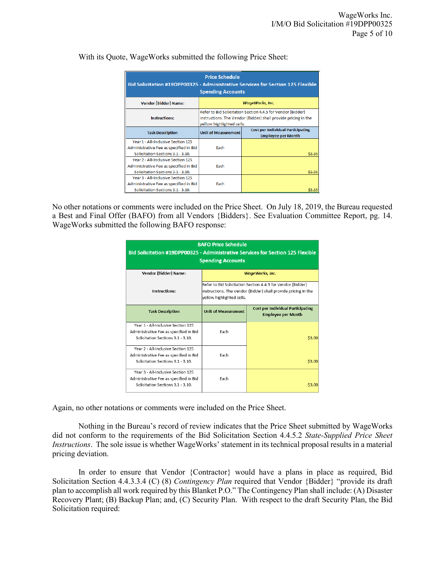| <b>Price Schedule</b><br>Bid Solicitation #19DPP00325 - Administrative Services for Section 125 Flexible<br><b>Spending Accounts</b> |                                                                                                                                                            |                                                                       |  |  |
|--------------------------------------------------------------------------------------------------------------------------------------|------------------------------------------------------------------------------------------------------------------------------------------------------------|-----------------------------------------------------------------------|--|--|
| Vendor {Bidder} Name:                                                                                                                | <b>WageWorks, Inc.</b>                                                                                                                                     |                                                                       |  |  |
| Instructions:                                                                                                                        | Refer to Bid Solicitation Section 4.4.5 for Vendor {Bidder}<br>instructions. The Vendor {Bidder} shall provide pricing in the<br>yellow highlighted cells. |                                                                       |  |  |
| <b>Task Description</b>                                                                                                              | <b>Unit of Measurement</b>                                                                                                                                 | <b>Cost per Individual Participating</b><br><b>Employee per Month</b> |  |  |
| Year 1 - All-Inclusive Section 125<br>Administrative Fee as specified in Bid<br>Solicitation Sections 3.1 - 3.10.                    | Fach                                                                                                                                                       | \$3.35                                                                |  |  |
| Year 2 - All-Inclusive Section 125<br>Administrative Fee as specified in Bid<br>Solicitation Sections 3.1 - 3.10.                    | Fach                                                                                                                                                       | \$3.35                                                                |  |  |
| Year 3 - All-Inclusive Section 125<br>Administrative Fee as specified in Bid<br>Solicitation Sections 3.1 - 3.10.                    | Fach                                                                                                                                                       |                                                                       |  |  |

With its Quote, WageWorks submitted the following Price Sheet:

No other notations or comments were included on the Price Sheet. On July 18, 2019, the Bureau requested a Best and Final Offer (BAFO) from all Vendors {Bidders}. See Evaluation Committee Report, pg. 14. WageWorks submitted the following BAFO response:

| <b>BAFO Price Schedule</b><br>Bid Solicitation #19DPP00325 - Administrative Services for Section 125 Flexible<br><b>Spending Accounts</b> |                                                                                                                                                             |                                                                       |  |
|-------------------------------------------------------------------------------------------------------------------------------------------|-------------------------------------------------------------------------------------------------------------------------------------------------------------|-----------------------------------------------------------------------|--|
| Vendor {Bidder} Name:                                                                                                                     | <b>WageWorks, Inc.</b>                                                                                                                                      |                                                                       |  |
| Instructions:                                                                                                                             | Refer to Bid Solicitation Section 4.4.5 for Vendor {Bidder}<br> instructions. The Vendor {Bidder} shall provide pricing in the<br>yellow highlighted cells. |                                                                       |  |
| <b>Task Description</b>                                                                                                                   | <b>Unit of Measurement</b>                                                                                                                                  | <b>Cost per Individual Participating</b><br><b>Employee per Month</b> |  |
| Year 1 - All-Inclusive Section 125<br>Administrative Fee as specified in Bid<br>Solicitation Sections 3.1 - 3.10.                         | Fach                                                                                                                                                        | \$3.00                                                                |  |
| Year 2 - All-Inclusive Section 125<br>Administrative Fee as specified in Bid<br>Solicitation Sections 3.1 - 3.10.                         | Each                                                                                                                                                        | \$3.00                                                                |  |
| Year 3 - All-Inclusive Section 125<br>Administrative Fee as specified in Bid<br>Solicitation Sections 3.1 - 3.10.                         | Fach                                                                                                                                                        | \$3.00                                                                |  |

Again, no other notations or comments were included on the Price Sheet.

Nothing in the Bureau's record of review indicates that the Price Sheet submitted by WageWorks did not conform to the requirements of the Bid Solicitation Section 4.4.5.2 *State-Supplied Price Sheet Instructions*. The sole issue is whether WageWorks' statement in its technical proposal results in a material pricing deviation.

In order to ensure that Vendor {Contractor} would have a plans in place as required, Bid Solicitation Section 4.4.3.3.4 (C) (8) *Contingency Plan* required that Vendor {Bidder} "provide its draft plan to accomplish all work required by this Blanket P.O." The Contingency Plan shall include: (A) Disaster Recovery Plant; (B) Backup Plan; and, (C) Security Plan. With respect to the draft Security Plan, the Bid Solicitation required: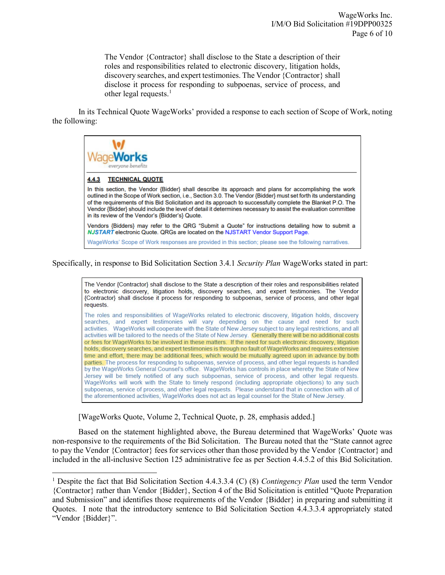The Vendor {Contractor} shall disclose to the State a description of their roles and responsibilities related to electronic discovery, litigation holds, discovery searches, and expert testimonies. The Vendor {Contractor} shall disclose it process for responding to subpoenas, service of process, and other legal requests. $<sup>1</sup>$  $<sup>1</sup>$  $<sup>1</sup>$ </sup>

In its Technical Quote WageWorks' provided a response to each section of Scope of Work, noting the following:



Specifically, in response to Bid Solicitation Section 3.4.1 *Security Plan* WageWorks stated in part:

The Vendor {Contractor} shall disclose to the State a description of their roles and responsibilities related to electronic discovery, litigation holds, discovery searches, and expert testimonies. The Vendor {Contractor} shall disclose it process for responding to subpoenas, service of process, and other legal requests.

The roles and responsibilities of WageWorks related to electronic discovery, litigation holds, discovery searches, and expert testimonies will vary depending on the cause and need for such activities. WageWorks will cooperate with the State of New Jersey subject to any legal restrictions, and all activities will be tailored to the needs of the State of New Jersey. Generally there will be no additional costs or fees for WageWorks to be involved in these matters. If the need for such electronic discovery, litigation holds, discovery searches, and expert testimonies is through no fault of WageWorks and requires extensive time and effort, there may be additional fees, which would be mutually agreed upon in advance by both parties. The process for responding to subpoenas, service of process, and other legal requests is handled by the WageWorks General Counsel's office. WageWorks has controls in place whereby the State of New Jersey will be timely notified of any such subpoenas, service of process, and other legal requests. WageWorks will work with the State to timely respond (including appropriate objections) to any such subpoenas, service of process, and other legal requests. Please understand that in connection with all of the aforementioned activities, WageWorks does not act as legal counsel for the State of New Jersey.

[WageWorks Quote, Volume 2, Technical Quote, p. 28, emphasis added.]

l

Based on the statement highlighted above, the Bureau determined that WageWorks' Quote was non-responsive to the requirements of the Bid Solicitation. The Bureau noted that the "State cannot agree to pay the Vendor {Contractor} fees for services other than those provided by the Vendor {Contractor} and included in the all-inclusive Section 125 administrative fee as per Section 4.4.5.2 of this Bid Solicitation.

<span id="page-5-0"></span><sup>1</sup> Despite the fact that Bid Solicitation Section 4.4.3.3.4 (C) (8) *Contingency Plan* used the term Vendor {Contractor} rather than Vendor {Bidder}, Section 4 of the Bid Solicitation is entitled "Quote Preparation and Submission" and identifies those requirements of the Vendor {Bidder} in preparing and submitting it Quotes. I note that the introductory sentence to Bid Solicitation Section 4.4.3.3.4 appropriately stated "Vendor {Bidder}".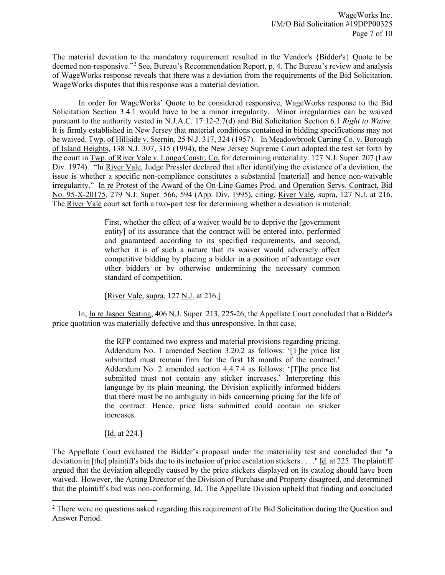The material deviation to the mandatory requirement resulted in the Vendor's {Bidder's} Quote to be deemed non-responsive."[2](#page-6-0) See, Bureau's Recommendation Report, p. 4. The Bureau's review and analysis of WageWorks response reveals that there was a deviation from the requirements of the Bid Solicitation. WageWorks disputes that this response was a material deviation.

In order for WageWorks' Quote to be considered responsive, WageWorks response to the Bid Solicitation Section 3.4.1 would have to be a minor irregularity. Minor irregularities can be waived pursuant to the authority vested in N.J.A.C. 17:12-2.7(d) and Bid Solicitation Section 6.1 *Right to Waive.* It is firmly established in New Jersey that material conditions contained in bidding specifications may not be waived. Twp. of Hillside v. Sternin*,* 25 N.J. 317, 324 (1957). In Meadowbrook Carting Co. v. Borough of Island Heights, 138 N.J. 307, 315 (1994), the New Jersey Supreme Court adopted the test set forth by the court in Twp. of River Vale v. Longo Constr. Co. for determining materiality. 127 N.J. Super. 207 (Law Div. 1974). "In River Vale, Judge Pressler declared that after identifying the existence of a deviation, the issue is whether a specific non-compliance constitutes a substantial [material] and hence non-waivable irregularity." In re Protest of the Award of the On-Line Games Prod. and Operation Servs. Contract, Bid No. 95-X-20175, 279 N.J. Super. 566, 594 (App. Div. 1995), citing, River Vale, supra, 127 N.J. at 216. The River Vale court set forth a two-part test for determining whether a deviation is material:

> First, whether the effect of a waiver would be to deprive the [government entity] of its assurance that the contract will be entered into, performed and guaranteed according to its specified requirements, and second, whether it is of such a nature that its waiver would adversely affect competitive bidding by placing a bidder in a position of advantage over other bidders or by otherwise undermining the necessary common standard of competition.

[River Vale, supra, 127 N.J. at 216.]

In, In re Jasper Seating, 406 N.J. Super. 213, 225-26, the Appellate Court concluded that a Bidder's price quotation was materially defective and thus unresponsive. In that case,

> the RFP contained two express and material provisions regarding pricing. Addendum No. 1 amended Section 3.20.2 as follows: '[T]he price list submitted must remain firm for the first 18 months of the contract.' Addendum No. 2 amended section 4.4.7.4 as follows: '[T]he price list submitted must not contain any sticker increases.' Interpreting this language by its plain meaning, the Division explicitly informed bidders that there must be no ambiguity in bids concerning pricing for the life of the contract. Hence, price lists submitted could contain no sticker increases.

[**Id.** at 224.]

l

The Appellate Court evaluated the Bidder's proposal under the materiality test and concluded that "a deviation in [the] plaintiff's bids due to its inclusion of price escalation stickers . . . ." Id. at 225. The plaintiff argued that the deviation allegedly caused by the price stickers displayed on its catalog should have been waived. However, the Acting Director of the Division of Purchase and Property disagreed, and determined that the plaintiff's bid was non-conforming. Id. The Appellate Division upheld that finding and concluded

<span id="page-6-0"></span><sup>&</sup>lt;sup>2</sup> There were no questions asked regarding this requirement of the Bid Solicitation during the Question and Answer Period.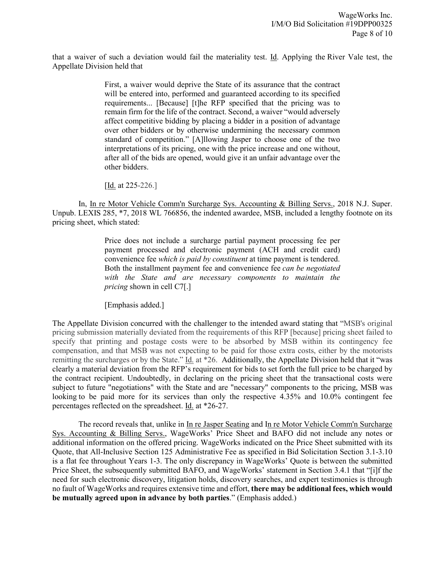that a waiver of such a deviation would fail the materiality test. Id. Applying the River Vale test, the Appellate Division held that

> First, a waiver would deprive the State of its assurance that the contract will be entered into, performed and guaranteed according to its specified requirements... [Because] [t]he RFP specified that the pricing was to remain firm for the life of the contract. Second, a waiver "would adversely affect competitive bidding by placing a bidder in a position of advantage over other bidders or by otherwise undermining the necessary common standard of competition." [A]llowing Jasper to choose one of the two interpretations of its pricing, one with the price increase and one without, after all of the bids are opened, would give it an unfair advantage over the other bidders.

[Id. at 225-226.]

In, In re Motor Vehicle Comm'n Surcharge Sys. Accounting & Billing Servs., 2018 N.J. Super. Unpub. LEXIS 285, \*7, 2018 WL 766856, the indented awardee, MSB, included a lengthy footnote on its pricing sheet, which stated:

> Price does not include a surcharge partial payment processing fee per payment processed and electronic payment (ACH and credit card) convenience fee *which is paid by constituent* at time payment is tendered. Both the installment payment fee and convenience fee *can be negotiated with the State and are necessary components to maintain the pricing* shown in cell C7[.]

[Emphasis added.]

The Appellate Division concurred with the challenger to the intended award stating that "MSB's original pricing submission materially deviated from the requirements of this RFP [because] pricing sheet failed to specify that printing and postage costs were to be absorbed by MSB within its contingency fee compensation, and that MSB was not expecting to be paid for those extra costs, either by the motorists remitting the surcharges or by the State." Id. at \*26. Additionally, the Appellate Division held that it "was clearly a material deviation from the RFP's requirement for bids to set forth the full price to be charged by the contract recipient. Undoubtedly, in declaring on the pricing sheet that the transactional costs were subject to future "negotiations" with the State and are "necessary" components to the pricing, MSB was looking to be paid more for its services than only the respective 4.35% and 10.0% contingent fee percentages reflected on the spreadsheet. Id. at \*26-27.

The record reveals that, unlike in In re Jasper Seating and In re Motor Vehicle Comm'n Surcharge Sys. Accounting & Billing Servs., WageWorks' Price Sheet and BAFO did not include any notes or additional information on the offered pricing. WageWorks indicated on the Price Sheet submitted with its Quote, that All-Inclusive Section 125 Administrative Fee as specified in Bid Solicitation Section 3.1-3.10 is a flat fee throughout Years 1-3. The only discrepancy in WageWorks' Quote is between the submitted Price Sheet, the subsequently submitted BAFO, and WageWorks' statement in Section 3.4.1 that "[i]f the need for such electronic discovery, litigation holds, discovery searches, and expert testimonies is through no fault of WageWorks and requires extensive time and effort, **there may be additional fees, which would be mutually agreed upon in advance by both parties**." (Emphasis added.)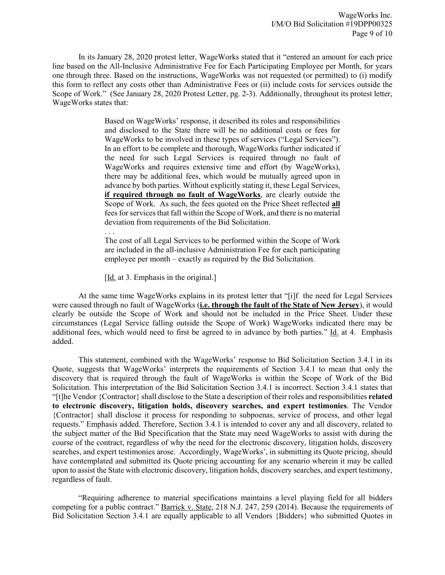In its January 28, 2020 protest letter, WageWorks stated that it "entered an amount for each price line based on the All-Inclusive Administrative Fee for Each Participating Employee per Month, for years one through three. Based on the instructions, WageWorks was not requested (or permitted) to (i) modify this form to reflect any costs other than Administrative Fees or (ii) include costs for services outside the Scope of Work." (See January 28, 2020 Protest Letter, pg. 2-3). Additionally, throughout its protest letter, WageWorks states that:

> Based on WageWorks' response, it described its roles and responsibilities and disclosed to the State there will be no additional costs or fees for WageWorks to be involved in these types of services ("Legal Services"). In an effort to be complete and thorough, WageWorks further indicated if the need for such Legal Services is required through no fault of WageWorks and requires extensive time and effort (by WageWorks), there may be additional fees, which would be mutually agreed upon in advance by both parties. Without explicitly stating it, these Legal Services, **if required through no fault of WageWorks**, are clearly outside the Scope of Work. As such, the fees quoted on the Price Sheet reflected **all** fees for services that fall within the Scope of Work, and there is no material deviation from requirements of the Bid Solicitation.

. . .

The cost of all Legal Services to be performed within the Scope of Work are included in the all-inclusive Administration Fee for each participating employee per month – exactly as required by the Bid Solicitation.

[Id. at 3. Emphasis in the original.]

At the same time WageWorks explains in its protest letter that "[i]f the need for Legal Services were caused through no fault of WageWorks (**i.e. through the fault of the State of New Jersey**), it would clearly be outside the Scope of Work and should not be included in the Price Sheet. Under these circumstances (Legal Service falling outside the Scope of Work) WageWorks indicated there may be additional fees, which would need to first be agreed to in advance by both parties." Id. at 4. Emphasis added.

This statement, combined with the WageWorks' response to Bid Solicitation Section 3.4.1 in its Quote, suggests that WageWorks' interprets the requirements of Section 3.4.1 to mean that only the discovery that is required through the fault of WageWorks is within the Scope of Work of the Bid Solicitation. This interpretation of the Bid Solicitation Section 3.4.1 is incorrect. Section 3.4.1 states that "[t]he Vendor {Contractor} shall disclose to the State a description of their roles and responsibilities **related to electronic discovery, litigation holds, discovery searches, and expert testimonies**. The Vendor {Contractor} shall disclose it process for responding to subpoenas, service of process, and other legal requests." Emphasis added. Therefore, Section 3.4.1 is intended to cover any and all discovery, related to the subject matter of the Bid Specification that the State may need WageWorks to assist with during the course of the contract, regardless of why the need for the electronic discovery, litigation holds, discovery searches, and expert testimonies arose. Accordingly, WageWorks', in submitting its Quote pricing, should have contemplated and submitted its Quote pricing accounting for any scenario wherein it may be called upon to assist the State with electronic discovery, litigation holds, discovery searches, and expert testimony, regardless of fault.

"Requiring adherence to material specifications maintains a level playing field for all bidders competing for a public contract." Barrick v. State, 218 N.J. 247, 259 (2014). Because the requirements of Bid Solicitation Section 3.4.1 are equally applicable to all Vendors {Bidders} who submitted Quotes in